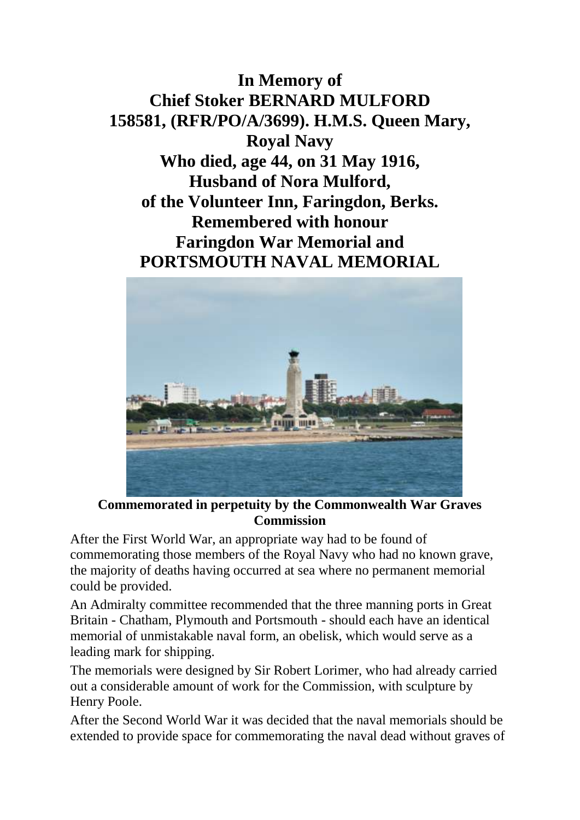## **In Memory of Chief Stoker BERNARD MULFORD 158581, (RFR/PO/A/3699). H.M.S. Queen Mary, Royal Navy Who died, age 44, on 31 May 1916, Husband of Nora Mulford, of the Volunteer Inn, Faringdon, Berks. Remembered with honour Faringdon War Memorial and PORTSMOUTH NAVAL MEMORIAL**



**Commemorated in perpetuity by the Commonwealth War Graves Commission** 

After the First World War, an appropriate way had to be found of commemorating those members of the Royal Navy who had no known grave, the majority of deaths having occurred at sea where no permanent memorial could be provided.

An Admiralty committee recommended that the three manning ports in Great Britain - Chatham, Plymouth and Portsmouth - should each have an identical memorial of unmistakable naval form, an obelisk, which would serve as a leading mark for shipping.

The memorials were designed by Sir Robert Lorimer, who had already carried out a considerable amount of work for the Commission, with sculpture by Henry Poole.

After the Second World War it was decided that the naval memorials should be extended to provide space for commemorating the naval dead without graves of